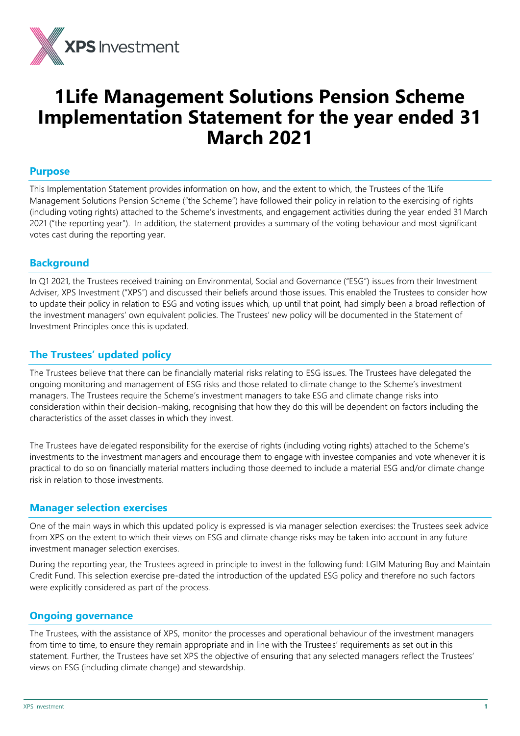

# **1Life Management Solutions Pension Scheme Implementation Statement for the year ended 31 March 2021**

#### **Purpose**

This Implementation Statement provides information on how, and the extent to which, the Trustees of the 1Life Management Solutions Pension Scheme ("the Scheme") have followed their policy in relation to the exercising of rights (including voting rights) attached to the Scheme's investments, and engagement activities during the year ended 31 March 2021 ("the reporting year"). In addition, the statement provides a summary of the voting behaviour and most significant votes cast during the reporting year.

## **Background**

In Q1 2021, the Trustees received training on Environmental, Social and Governance ("ESG") issues from their Investment Adviser, XPS Investment ("XPS") and discussed their beliefs around those issues. This enabled the Trustees to consider how to update their policy in relation to ESG and voting issues which, up until that point, had simply been a broad reflection of the investment managers' own equivalent policies. The Trustees' new policy will be documented in the Statement of Investment Principles once this is updated.

## **The Trustees' updated policy**

The Trustees believe that there can be financially material risks relating to ESG issues. The Trustees have delegated the ongoing monitoring and management of ESG risks and those related to climate change to the Scheme's investment managers. The Trustees require the Scheme's investment managers to take ESG and climate change risks into consideration within their decision-making, recognising that how they do this will be dependent on factors including the characteristics of the asset classes in which they invest.

The Trustees have delegated responsibility for the exercise of rights (including voting rights) attached to the Scheme's investments to the investment managers and encourage them to engage with investee companies and vote whenever it is practical to do so on financially material matters including those deemed to include a material ESG and/or climate change risk in relation to those investments.

### **Manager selection exercises**

One of the main ways in which this updated policy is expressed is via manager selection exercises: the Trustees seek advice from XPS on the extent to which their views on ESG and climate change risks may be taken into account in any future investment manager selection exercises.

During the reporting year, the Trustees agreed in principle to invest in the following fund: LGIM Maturing Buy and Maintain Credit Fund. This selection exercise pre-dated the introduction of the updated ESG policy and therefore no such factors were explicitly considered as part of the process.

#### **Ongoing governance**

The Trustees, with the assistance of XPS, monitor the processes and operational behaviour of the investment managers from time to time, to ensure they remain appropriate and in line with the Trustees' requirements as set out in this statement. Further, the Trustees have set XPS the objective of ensuring that any selected managers reflect the Trustees' views on ESG (including climate change) and stewardship.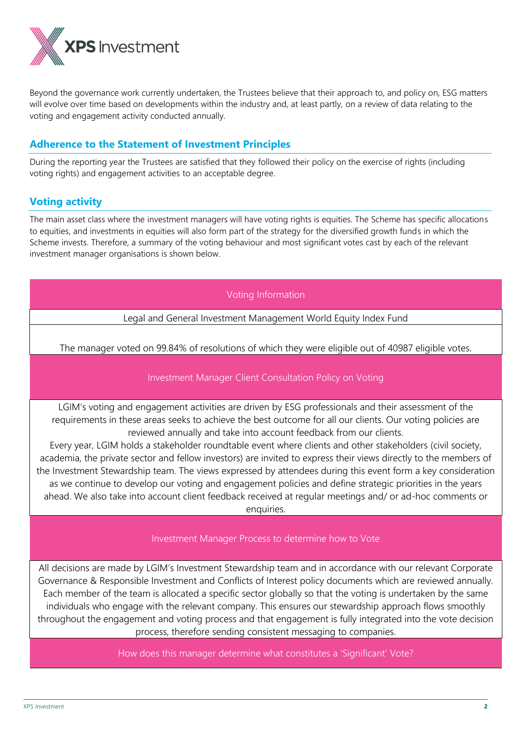

Beyond the governance work currently undertaken, the Trustees believe that their approach to, and policy on, ESG matters will evolve over time based on developments within the industry and, at least partly, on a review of data relating to the voting and engagement activity conducted annually.

## **Adherence to the Statement of Investment Principles**

During the reporting year the Trustees are satisfied that they followed their policy on the exercise of rights (including voting rights) and engagement activities to an acceptable degree.

## **Voting activity**

The main asset class where the investment managers will have voting rights is equities. The Scheme has specific allocations to equities, and investments in equities will also form part of the strategy for the diversified growth funds in which the Scheme invests. Therefore, a summary of the voting behaviour and most significant votes cast by each of the relevant investment manager organisations is shown below.

#### Voting Information

Legal and General Investment Management World Equity Index Fund

The manager voted on 99.84% of resolutions of which they were eligible out of 40987 eligible votes.

#### Investment Manager Client Consultation Policy on Voting

LGIM's voting and engagement activities are driven by ESG professionals and their assessment of the requirements in these areas seeks to achieve the best outcome for all our clients. Our voting policies are reviewed annually and take into account feedback from our clients.

Every year, LGIM holds a stakeholder roundtable event where clients and other stakeholders (civil society, academia, the private sector and fellow investors) are invited to express their views directly to the members of the Investment Stewardship team. The views expressed by attendees during this event form a key consideration as we continue to develop our voting and engagement policies and define strategic priorities in the years ahead. We also take into account client feedback received at regular meetings and/ or ad-hoc comments or enquiries.

#### Investment Manager Process to determine how to Vote

All decisions are made by LGIM's Investment Stewardship team and in accordance with our relevant Corporate Governance & Responsible Investment and Conflicts of Interest policy documents which are reviewed annually. Each member of the team is allocated a specific sector globally so that the voting is undertaken by the same individuals who engage with the relevant company. This ensures our stewardship approach flows smoothly throughout the engagement and voting process and that engagement is fully integrated into the vote decision process, therefore sending consistent messaging to companies.

How does this manager determine what constitutes a 'Significant' Vote?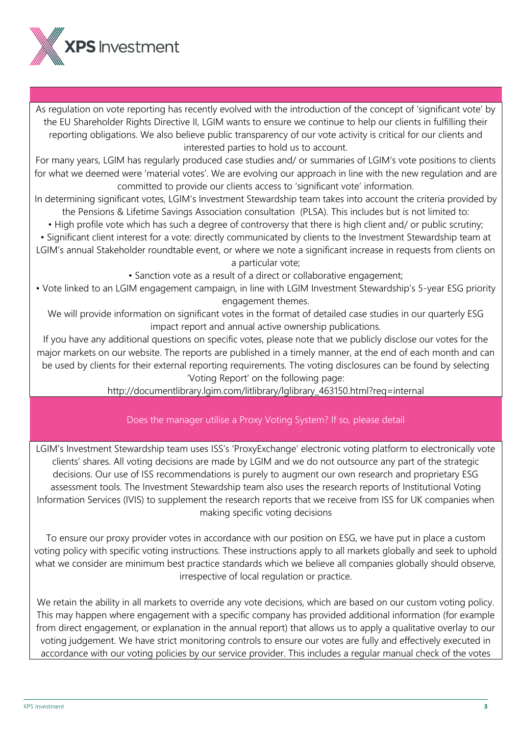

As regulation on vote reporting has recently evolved with the introduction of the concept of 'significant vote' by the EU Shareholder Rights Directive II, LGIM wants to ensure we continue to help our clients in fulfilling their reporting obligations. We also believe public transparency of our vote activity is critical for our clients and interested parties to hold us to account.

For many years, LGIM has regularly produced case studies and/ or summaries of LGIM's vote positions to clients for what we deemed were 'material votes'. We are evolving our approach in line with the new regulation and are committed to provide our clients access to 'significant vote' information.

In determining significant votes, LGIM's Investment Stewardship team takes into account the criteria provided by the Pensions & Lifetime Savings Association consultation (PLSA). This includes but is not limited to:

• High profile vote which has such a degree of controversy that there is high client and/ or public scrutiny;

• Significant client interest for a vote: directly communicated by clients to the Investment Stewardship team at LGIM's annual Stakeholder roundtable event, or where we note a significant increase in requests from clients on a particular vote;

• Sanction vote as a result of a direct or collaborative engagement;

• Vote linked to an LGIM engagement campaign, in line with LGIM Investment Stewardship's 5-year ESG priority engagement themes.

We will provide information on significant votes in the format of detailed case studies in our quarterly ESG impact report and annual active ownership publications.

If you have any additional questions on specific votes, please note that we publicly disclose our votes for the major markets on our website. The reports are published in a timely manner, at the end of each month and can be used by clients for their external reporting requirements. The voting disclosures can be found by selecting 'Voting Report' on the following page:

http://documentlibrary.lgim.com/litlibrary/lglibrary\_463150.html?req=internal

### Does the manager utilise a Proxy Voting System? If so, please detail

LGIM's Investment Stewardship team uses ISS's 'ProxyExchange' electronic voting platform to electronically vote clients' shares. All voting decisions are made by LGIM and we do not outsource any part of the strategic decisions. Our use of ISS recommendations is purely to augment our own research and proprietary ESG assessment tools. The Investment Stewardship team also uses the research reports of Institutional Voting Information Services (IVIS) to supplement the research reports that we receive from ISS for UK companies when making specific voting decisions

To ensure our proxy provider votes in accordance with our position on ESG, we have put in place a custom voting policy with specific voting instructions. These instructions apply to all markets globally and seek to uphold what we consider are minimum best practice standards which we believe all companies globally should observe, irrespective of local regulation or practice.

We retain the ability in all markets to override any vote decisions, which are based on our custom voting policy. This may happen where engagement with a specific company has provided additional information (for example from direct engagement, or explanation in the annual report) that allows us to apply a qualitative overlay to our voting judgement. We have strict monitoring controls to ensure our votes are fully and effectively executed in accordance with our voting policies by our service provider. This includes a regular manual check of the votes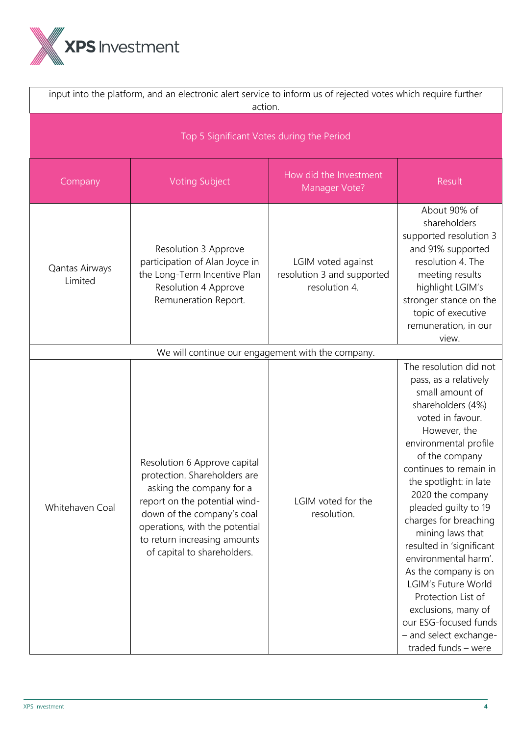

| input into the platform, and an electronic alert service to inform us of rejected votes which require further<br>action. |                                                                                                                                                                                                                                                          |                                                                   |                                                                                                                                                                                                                                                                                                                                                                                                                                                                                                                                               |  |  |
|--------------------------------------------------------------------------------------------------------------------------|----------------------------------------------------------------------------------------------------------------------------------------------------------------------------------------------------------------------------------------------------------|-------------------------------------------------------------------|-----------------------------------------------------------------------------------------------------------------------------------------------------------------------------------------------------------------------------------------------------------------------------------------------------------------------------------------------------------------------------------------------------------------------------------------------------------------------------------------------------------------------------------------------|--|--|
| Top 5 Significant Votes during the Period                                                                                |                                                                                                                                                                                                                                                          |                                                                   |                                                                                                                                                                                                                                                                                                                                                                                                                                                                                                                                               |  |  |
| Company                                                                                                                  | <b>Voting Subject</b>                                                                                                                                                                                                                                    | How did the Investment<br>Manager Vote?                           | Result                                                                                                                                                                                                                                                                                                                                                                                                                                                                                                                                        |  |  |
| Qantas Airways<br>Limited                                                                                                | Resolution 3 Approve<br>participation of Alan Joyce in<br>the Long-Term Incentive Plan<br>Resolution 4 Approve<br>Remuneration Report.                                                                                                                   | LGIM voted against<br>resolution 3 and supported<br>resolution 4. | About 90% of<br>shareholders<br>supported resolution 3<br>and 91% supported<br>resolution 4. The<br>meeting results<br>highlight LGIM's<br>stronger stance on the<br>topic of executive<br>remuneration, in our<br>view.                                                                                                                                                                                                                                                                                                                      |  |  |
|                                                                                                                          | We will continue our engagement with the company.                                                                                                                                                                                                        |                                                                   |                                                                                                                                                                                                                                                                                                                                                                                                                                                                                                                                               |  |  |
| Whitehaven Coal                                                                                                          | Resolution 6 Approve capital<br>protection. Shareholders are<br>asking the company for a<br>report on the potential wind-<br>down of the company's coal<br>operations, with the potential<br>to return increasing amounts<br>of capital to shareholders. | LGIM voted for the<br>resolution.                                 | The resolution did not<br>pass, as a relatively<br>small amount of<br>shareholders (4%)<br>voted in favour.<br>However, the<br>environmental profile<br>of the company<br>continues to remain in<br>the spotlight: in late<br>2020 the company<br>pleaded quilty to 19<br>charges for breaching<br>mining laws that<br>resulted in 'significant<br>environmental harm'.<br>As the company is on<br>LGIM's Future World<br>Protection List of<br>exclusions, many of<br>our ESG-focused funds<br>- and select exchange-<br>traded funds - were |  |  |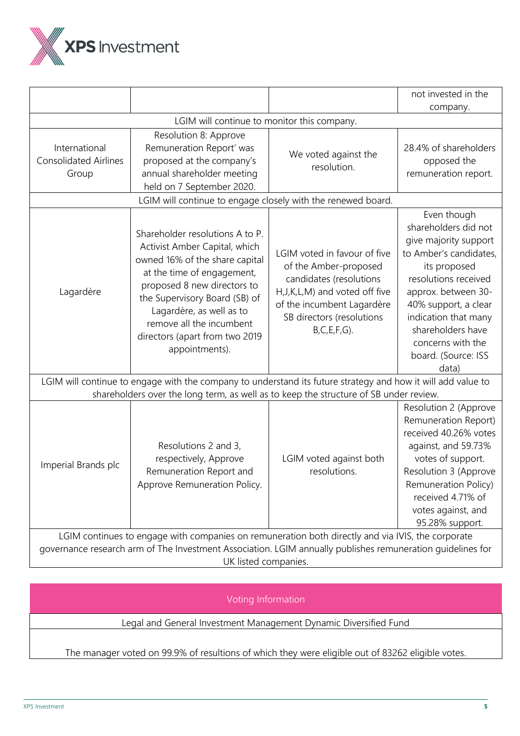

|                                                                                                            |                                                                                                                                                                                                                                                                                                              |                                                                                                                                                                                                        | not invested in the                                                                                                                                                                                                                                                             |  |  |
|------------------------------------------------------------------------------------------------------------|--------------------------------------------------------------------------------------------------------------------------------------------------------------------------------------------------------------------------------------------------------------------------------------------------------------|--------------------------------------------------------------------------------------------------------------------------------------------------------------------------------------------------------|---------------------------------------------------------------------------------------------------------------------------------------------------------------------------------------------------------------------------------------------------------------------------------|--|--|
|                                                                                                            |                                                                                                                                                                                                                                                                                                              |                                                                                                                                                                                                        | company.                                                                                                                                                                                                                                                                        |  |  |
|                                                                                                            | LGIM will continue to monitor this company.                                                                                                                                                                                                                                                                  |                                                                                                                                                                                                        |                                                                                                                                                                                                                                                                                 |  |  |
| International<br><b>Consolidated Airlines</b><br>Group                                                     | Resolution 8: Approve<br>Remuneration Report' was<br>proposed at the company's<br>annual shareholder meeting<br>held on 7 September 2020.                                                                                                                                                                    | We voted against the<br>resolution.                                                                                                                                                                    | 28.4% of shareholders<br>opposed the<br>remuneration report.                                                                                                                                                                                                                    |  |  |
|                                                                                                            | LGIM will continue to engage closely with the renewed board.                                                                                                                                                                                                                                                 |                                                                                                                                                                                                        |                                                                                                                                                                                                                                                                                 |  |  |
| Lagardère                                                                                                  | Shareholder resolutions A to P.<br>Activist Amber Capital, which<br>owned 16% of the share capital<br>at the time of engagement,<br>proposed 8 new directors to<br>the Supervisory Board (SB) of<br>Lagardère, as well as to<br>remove all the incumbent<br>directors (apart from two 2019<br>appointments). | LGIM voted in favour of five<br>of the Amber-proposed<br>candidates (resolutions<br>H, J, K, L, M) and voted off five<br>of the incumbent Lagardère<br>SB directors (resolutions<br>$B, C, E, F, G$ ). | Even though<br>shareholders did not<br>give majority support<br>to Amber's candidates,<br>its proposed<br>resolutions received<br>approx. between 30-<br>40% support, a clear<br>indication that many<br>shareholders have<br>concerns with the<br>board. (Source: ISS<br>data) |  |  |
|                                                                                                            | LGIM will continue to engage with the company to understand its future strategy and how it will add value to                                                                                                                                                                                                 |                                                                                                                                                                                                        |                                                                                                                                                                                                                                                                                 |  |  |
|                                                                                                            | shareholders over the long term, as well as to keep the structure of SB under review.                                                                                                                                                                                                                        |                                                                                                                                                                                                        |                                                                                                                                                                                                                                                                                 |  |  |
| Imperial Brands plc                                                                                        | Resolutions 2 and 3,<br>respectively, Approve<br>Remuneration Report and<br>Approve Remuneration Policy.                                                                                                                                                                                                     | LGIM voted against both<br>resolutions.                                                                                                                                                                | Resolution 2 (Approve<br>Remuneration Report)<br>received 40.26% votes<br>against, and 59.73%<br>votes of support.<br>Resolution 3 (Approve<br>Remuneration Policy)<br>received 4.71% of<br>votes against, and<br>95.28% support.                                               |  |  |
| LGIM continues to engage with companies on remuneration both directly and via IVIS, the corporate          |                                                                                                                                                                                                                                                                                                              |                                                                                                                                                                                                        |                                                                                                                                                                                                                                                                                 |  |  |
| governance research arm of The Investment Association. LGIM annually publishes remuneration guidelines for |                                                                                                                                                                                                                                                                                                              |                                                                                                                                                                                                        |                                                                                                                                                                                                                                                                                 |  |  |

UK listed companies.

Voting Information

Legal and General Investment Management Dynamic Diversified Fund

The manager voted on 99.9% of resultions of which they were eligible out of 83262 eligible votes.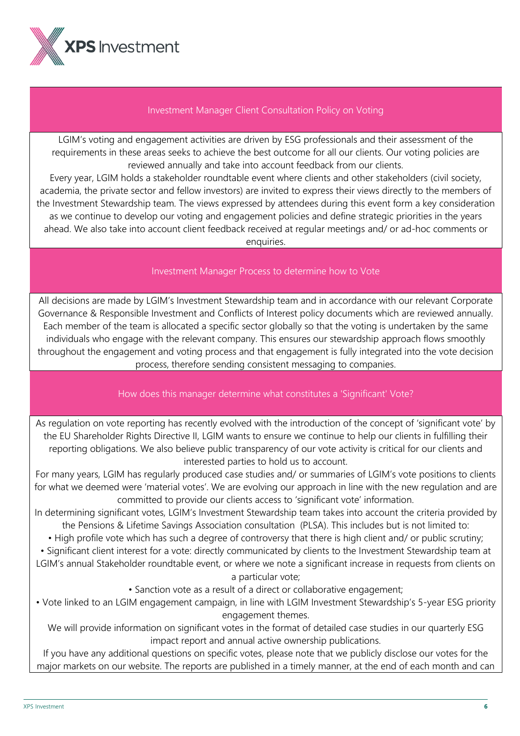

#### Investment Manager Client Consultation Policy on Voting

LGIM's voting and engagement activities are driven by ESG professionals and their assessment of the requirements in these areas seeks to achieve the best outcome for all our clients. Our voting policies are reviewed annually and take into account feedback from our clients.

Every year, LGIM holds a stakeholder roundtable event where clients and other stakeholders (civil society, academia, the private sector and fellow investors) are invited to express their views directly to the members of the Investment Stewardship team. The views expressed by attendees during this event form a key consideration as we continue to develop our voting and engagement policies and define strategic priorities in the years ahead. We also take into account client feedback received at regular meetings and/ or ad-hoc comments or enquiries.

### Investment Manager Process to determine how to Vote

All decisions are made by LGIM's Investment Stewardship team and in accordance with our relevant Corporate Governance & Responsible Investment and Conflicts of Interest policy documents which are reviewed annually. Each member of the team is allocated a specific sector globally so that the voting is undertaken by the same individuals who engage with the relevant company. This ensures our stewardship approach flows smoothly throughout the engagement and voting process and that engagement is fully integrated into the vote decision process, therefore sending consistent messaging to companies.

### How does this manager determine what constitutes a 'Significant' Vote?

As regulation on vote reporting has recently evolved with the introduction of the concept of 'significant vote' by the EU Shareholder Rights Directive II, LGIM wants to ensure we continue to help our clients in fulfilling their reporting obligations. We also believe public transparency of our vote activity is critical for our clients and interested parties to hold us to account.

For many years, LGIM has regularly produced case studies and/ or summaries of LGIM's vote positions to clients for what we deemed were 'material votes'. We are evolving our approach in line with the new regulation and are committed to provide our clients access to 'significant vote' information.

In determining significant votes, LGIM's Investment Stewardship team takes into account the criteria provided by the Pensions & Lifetime Savings Association consultation (PLSA). This includes but is not limited to:

• High profile vote which has such a degree of controversy that there is high client and/ or public scrutiny;

• Significant client interest for a vote: directly communicated by clients to the Investment Stewardship team at LGIM's annual Stakeholder roundtable event, or where we note a significant increase in requests from clients on a particular vote;

• Sanction vote as a result of a direct or collaborative engagement;

• Vote linked to an LGIM engagement campaign, in line with LGIM Investment Stewardship's 5-year ESG priority engagement themes.

We will provide information on significant votes in the format of detailed case studies in our quarterly ESG impact report and annual active ownership publications.

If you have any additional questions on specific votes, please note that we publicly disclose our votes for the major markets on our website. The reports are published in a timely manner, at the end of each month and can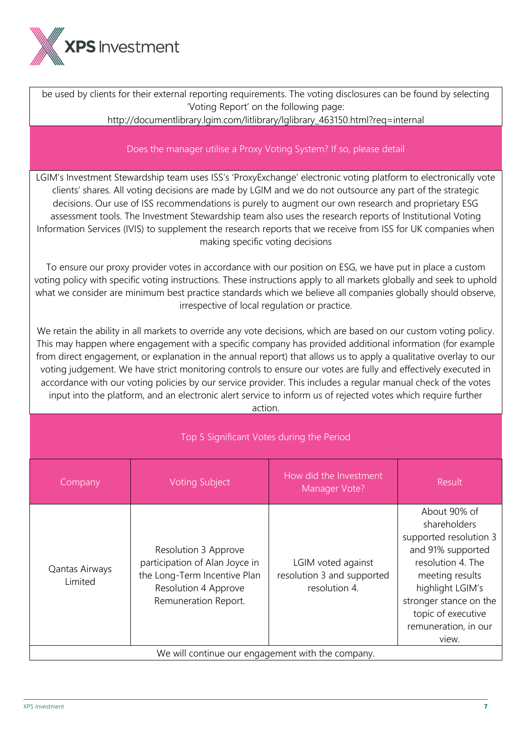

be used by clients for their external reporting requirements. The voting disclosures can be found by selecting 'Voting Report' on the following page: http://documentlibrary.lgim.com/litlibrary/lglibrary\_463150.html?req=internal Does the manager utilise a Proxy Voting System? If so, please detail LGIM's Investment Stewardship team uses ISS's 'ProxyExchange' electronic voting platform to electronically vote clients' shares. All voting decisions are made by LGIM and we do not outsource any part of the strategic decisions. Our use of ISS recommendations is purely to augment our own research and proprietary ESG assessment tools. The Investment Stewardship team also uses the research reports of Institutional Voting Information Services (IVIS) to supplement the research reports that we receive from ISS for UK companies when making specific voting decisions To ensure our proxy provider votes in accordance with our position on ESG, we have put in place a custom voting policy with specific voting instructions. These instructions apply to all markets globally and seek to uphold what we consider are minimum best practice standards which we believe all companies globally should observe, irrespective of local regulation or practice. We retain the ability in all markets to override any vote decisions, which are based on our custom voting policy. This may happen where engagement with a specific company has provided additional information (for example from direct engagement, or explanation in the annual report) that allows us to apply a qualitative overlay to our voting judgement. We have strict monitoring controls to ensure our votes are fully and effectively executed in accordance with our voting policies by our service provider. This includes a regular manual check of the votes input into the platform, and an electronic alert service to inform us of rejected votes which require further action. Top 5 Significant Votes during the Period Company Voting Subject How did the Investment value investment<br>Manager Vote? Result Qantas Airways Limited Resolution 3 Approve participation of Alan Joyce in the Long-Term Incentive Plan Resolution 4 Approve Remuneration Report. LGIM voted against resolution 3 and supported resolution 4. About 90% of shareholders supported resolution 3 and 91% supported resolution 4. The meeting results highlight LGIM's stronger stance on the topic of executive remuneration, in our view. We will continue our engagement with the company.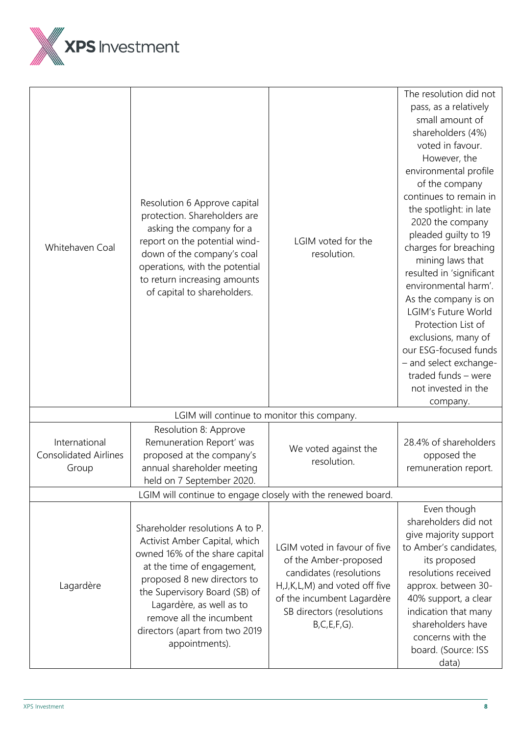

| Whitehaven Coal                                              | Resolution 6 Approve capital<br>protection. Shareholders are<br>asking the company for a<br>report on the potential wind-<br>down of the company's coal<br>operations, with the potential<br>to return increasing amounts<br>of capital to shareholders.                                                     | LGIM voted for the<br>resolution.                                                                                                                                                                      | The resolution did not<br>pass, as a relatively<br>small amount of<br>shareholders (4%)<br>voted in favour.<br>However, the<br>environmental profile<br>of the company<br>continues to remain in<br>the spotlight: in late<br>2020 the company<br>pleaded guilty to 19<br>charges for breaching<br>mining laws that<br>resulted in 'significant<br>environmental harm'.<br>As the company is on<br>LGIM's Future World<br>Protection List of<br>exclusions, many of<br>our ESG-focused funds<br>- and select exchange-<br>traded funds - were<br>not invested in the |  |  |
|--------------------------------------------------------------|--------------------------------------------------------------------------------------------------------------------------------------------------------------------------------------------------------------------------------------------------------------------------------------------------------------|--------------------------------------------------------------------------------------------------------------------------------------------------------------------------------------------------------|----------------------------------------------------------------------------------------------------------------------------------------------------------------------------------------------------------------------------------------------------------------------------------------------------------------------------------------------------------------------------------------------------------------------------------------------------------------------------------------------------------------------------------------------------------------------|--|--|
|                                                              | LGIM will continue to monitor this company.                                                                                                                                                                                                                                                                  |                                                                                                                                                                                                        | company.                                                                                                                                                                                                                                                                                                                                                                                                                                                                                                                                                             |  |  |
| International<br><b>Consolidated Airlines</b><br>Group       | Resolution 8: Approve<br>Remuneration Report' was<br>proposed at the company's<br>annual shareholder meeting<br>held on 7 September 2020.                                                                                                                                                                    | We voted against the<br>resolution.                                                                                                                                                                    | 28.4% of shareholders<br>opposed the<br>remuneration report.                                                                                                                                                                                                                                                                                                                                                                                                                                                                                                         |  |  |
| LGIM will continue to engage closely with the renewed board. |                                                                                                                                                                                                                                                                                                              |                                                                                                                                                                                                        |                                                                                                                                                                                                                                                                                                                                                                                                                                                                                                                                                                      |  |  |
| Lagardère                                                    | Shareholder resolutions A to P.<br>Activist Amber Capital, which<br>owned 16% of the share capital<br>at the time of engagement,<br>proposed 8 new directors to<br>the Supervisory Board (SB) of<br>Lagardère, as well as to<br>remove all the incumbent<br>directors (apart from two 2019<br>appointments). | LGIM voted in favour of five<br>of the Amber-proposed<br>candidates (resolutions<br>H, J, K, L, M) and voted off five<br>of the incumbent Lagardère<br>SB directors (resolutions<br>$B, C, E, F, G$ ). | Even though<br>shareholders did not<br>give majority support<br>to Amber's candidates,<br>its proposed<br>resolutions received<br>approx. between 30-<br>40% support, a clear<br>indication that many<br>shareholders have<br>concerns with the<br>board. (Source: ISS<br>data)                                                                                                                                                                                                                                                                                      |  |  |